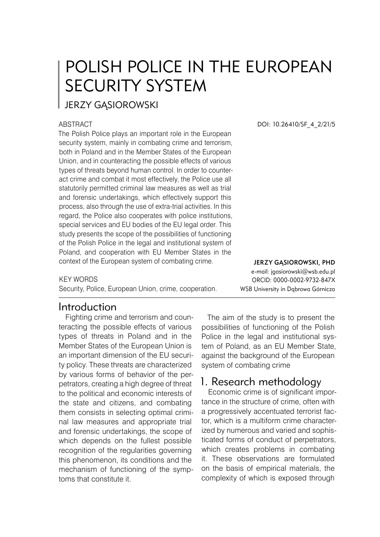# POLISH POLICE IN THE EUROPEAN SECURITY SYSTEM

**JERZY GASIOROWSKI** 

#### ABSTRACT

The Polish Police plays an important role in the European security system, mainly in combating crime and terrorism. both in Poland and in the Member States of the European Union, and in counteracting the possible effects of various types of threats beyond human control. In order to counteract crime and combat it most effectively, the Police use all statutorily permitted criminal law measures as well as trial and forensic undertakings, which effectively support this process, also through the use of extra-trial activities. In this regard, the Police also cooperates with police institutions, special services and EU bodies of the EU legal order. This study presents the scope of the possibilities of functioning of the Polish Police in the legal and institutional system of Poland, and cooperation with EU Member States in the context of the European system of combating crime.

#### KEY WORDS

Security, Police, European Union, crime, cooperation.

## Introduction

Fighting crime and terrorism and counteracting the possible effects of various types of threats in Poland and in the Member States of the European Union is an important dimension of the EU security policy. These threats are characterized by various forms of behavior of the perpetrators, creating a high degree of threat to the political and economic interests of the state and citizens, and combating them consists in selecting optimal criminal law measures and appropriate trial and forensic undertakings, the scope of which depends on the fullest possible recognition of the regularities governing this phenomenon, its conditions and the mechanism of functioning of the symptoms that constitute it.

DOI: 10.26410/SF\_4\_2/21/5

Jerzy Gąsiorowski, PhD e-mail: jgasiorowski@wsb.edu.pl ORCID: 0000-0002-9732-847X WSB University in Dąbrowa Górnicza

The aim of the study is to present the possibilities of functioning of the Polish Police in the legal and institutional system of Poland, as an EU Member State, against the background of the European system of combating crime

## 1. Research methodology

Economic crime is of significant importance in the structure of crime, often with a progressively accentuated terrorist factor, which is a multiform crime characterized by numerous and varied and sophisticated forms of conduct of perpetrators, which creates problems in combating it. These observations are formulated on the basis of empirical materials, the complexity of which is exposed through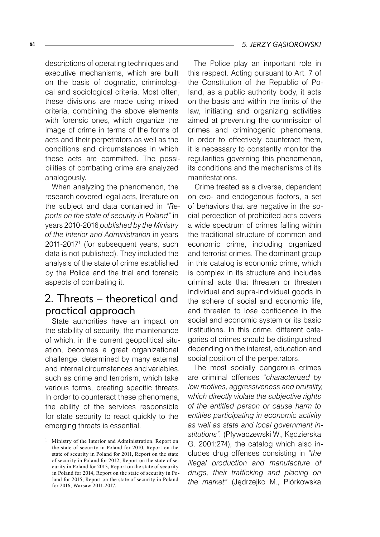descriptions of operating techniques and executive mechanisms, which are built on the basis of dogmatic, criminological and sociological criteria. Most often, these divisions are made using mixed criteria, combining the above elements with forensic ones, which organize the image of crime in terms of the forms of acts and their perpetrators as well as the conditions and circumstances in which these acts are committed. The possibilities of combating crime are analyzed analogously.

When analyzing the phenomenon, the research covered legal acts, literature on the subject and data contained in "*Reports on the state of security in Poland"* in years 2010-2016 *published by the Ministry of the Interior and Administration* in years 2011-20171 (for subsequent years, such data is not published). They included the analysis of the state of crime established by the Police and the trial and forensic aspects of combating it.

# 2. Threats – theoretical and practical approach

State authorities have an impact on the stability of security, the maintenance of which, in the current geopolitical situation, becomes a great organizational challenge, determined by many external and internal circumstances and variables, such as crime and terrorism, which take various forms, creating specific threats. In order to counteract these phenomena, the ability of the services responsible for state security to react quickly to the emerging threats is essential.

The Police play an important role in this respect. Acting pursuant to Art. 7 of the Constitution of the Republic of Poland, as a public authority body, it acts on the basis and within the limits of the law, initiating and organizing activities aimed at preventing the commission of crimes and criminogenic phenomena. In order to effectively counteract them, it is necessary to constantly monitor the regularities governing this phenomenon, its conditions and the mechanisms of its manifestations.

Crime treated as a diverse, dependent on exo- and endogenous factors, a set of behaviors that are negative in the social perception of prohibited acts covers a wide spectrum of crimes falling within the traditional structure of common and economic crime, including organized and terrorist crimes. The dominant group in this catalog is economic crime, which is complex in its structure and includes criminal acts that threaten or threaten individual and supra-individual goods in the sphere of social and economic life, and threaten to lose confidence in the social and economic system or its basic institutions. In this crime, different categories of crimes should be distinguished depending on the interest, education and social position of the perpetrators.

The most socially dangerous crimes are criminal offenses "*characterized by low motives, aggressiveness and brutality, which directly violate the subjective rights of the entitled person or cause harm to entities participating in economic activity as well as state and local government institutions".* (Pływaczewski W., Kędzierska G. 2001:274), the catalog which also includes drug offenses consisting in *"the illegal production and manufacture of drugs, their trafficking and placing on the market"* (Jędrzejko M., Piórkowska

<sup>&</sup>lt;sup>1</sup> Ministry of the Interior and Administration. Report on the state of security in Poland for 2010, Report on the state of security in Poland for 2011, Report on the state of security in Poland for 2012, Report on the state of security in Poland for 2013, Report on the state of security in Poland for 2014, Report on the state of security in Poland for 2015, Report on the state of security in Poland for 2016, Warsaw 2011-2017.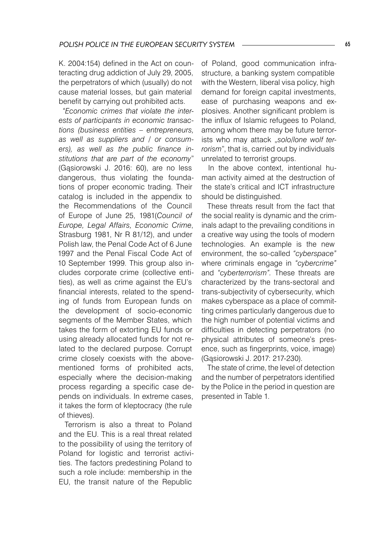K. 2004:154) defined in the Act on counteracting drug addiction of July 29, 2005, the perpetrators of which (usually) do not cause material losses, but gain material benefit by carrying out prohibited acts.

*"Economic crimes that violate the interests of participants in economic transactions (business entities – entrepreneurs, as well as suppliers and / or consumers), as well as the public finance institutions that are part of the economy*" (Gąsiorowski J. 2016: 60), are no less dangerous, thus violating the foundations of proper economic trading. Their catalog is included in the appendix to the Recommendations of the Council of Europe of June 25, 1981(*Council of Europe, Legal Affairs, Economic Crime*, Strasburg 1981, Nr R 81/12), and under Polish law, the Penal Code Act of 6 June 1997 and the Penal Fiscal Code Act of 10 September 1999. This group also includes corporate crime (collective entities), as well as crime against the EU's financial interests, related to the spending of funds from European funds on the development of socio-economic segments of the Member States, which takes the form of extorting EU funds or using already allocated funds for not related to the declared purpose. Corrupt crime closely coexists with the abovementioned forms of prohibited acts, especially where the decision-making process regarding a specific case depends on individuals. In extreme cases, it takes the form of kleptocracy (the rule of thieves).

Terrorism is also a threat to Poland and the EU. This is a real threat related to the possibility of using the territory of Poland for logistic and terrorist activities. The factors predestining Poland to such a role include: membership in the EU, the transit nature of the Republic

of Poland, good communication infrastructure, a banking system compatible with the Western, liberal visa policy, high demand for foreign capital investments, ease of purchasing weapons and explosives. Another significant problem is the influx of Islamic refugees to Poland, among whom there may be future terrorists who may attack "solo/lone wolf ter*rorism*", that is, carried out by individuals unrelated to terrorist groups.

In the above context, intentional human activity aimed at the destruction of the state's critical and ICT infrastructure should be distinguished.

These threats result from the fact that the social reality is dynamic and the criminals adapt to the prevailing conditions in a creative way using the tools of modern technologies. An example is the new environment, the so-called *"cyberspace"* where criminals engage in *"cybercrime"* and *"cyberterrorism".* These threats are characterized by the trans-sectoral and trans-subjectivity of cybersecurity, which makes cyberspace as a place of committing crimes particularly dangerous due to the high number of potential victims and difficulties in detecting perpetrators (no physical attributes of someone's presence, such as fingerprints, voice, image) (Gąsiorowski J. 2017: 217-230).

The state of crime, the level of detection and the number of perpetrators identified by the Police in the period in question are presented in Table 1.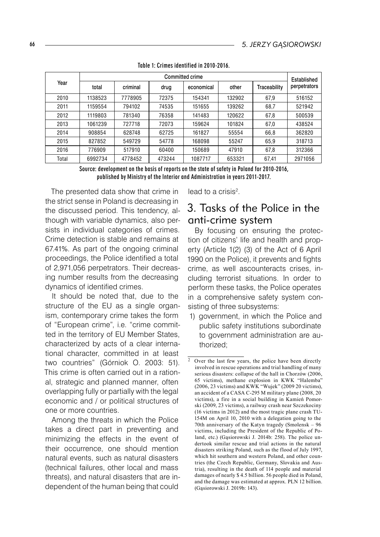| Year  | Committed crime |          |        |            |        |              | Established  |
|-------|-----------------|----------|--------|------------|--------|--------------|--------------|
|       | total           | criminal | drug   | economical | other  | Traceability | perpetrators |
| 2010  | 1138523         | 7778905  | 72375  | 154341     | 132902 | 67,9         | 516152       |
| 2011  | 1159554         | 794102   | 74535  | 151655     | 139262 | 68,7         | 521942       |
| 2012  | 1119803         | 781340   | 76358  | 141483     | 120622 | 67,8         | 500539       |
| 2013  | 1061239         | 727718   | 72073  | 159624     | 101824 | 67,0         | 438524       |
| 2014  | 908854          | 628748   | 62725  | 161827     | 55554  | 66,8         | 362820       |
| 2015  | 827852          | 549729   | 54778  | 168098     | 55247  | 65,9         | 318713       |
| 2016  | 776909          | 517910   | 60400  | 150689     | 47910  | 67,8         | 312366       |
| Total | 6992734         | 4778452  | 473244 | 1087717    | 653321 | 67,41        | 2971056      |

Table 1: Crimes identified in 2010-2016.

Source: development on the basis of reports on the state of safety in Poland for 2010-2016, published by Ministry of the Interior and Administration in years 2011-2017.

The presented data show that crime in the strict sense in Poland is decreasing in the discussed period. This tendency, although with variable dynamics, also persists in individual categories of crimes. Crime detection is stable and remains at 67.41%. As part of the ongoing criminal proceedings, the Police identified a total of 2,971,056 perpetrators. Their decreasing number results from the decreasing dynamics of identified crimes.

It should be noted that, due to the structure of the EU as a single organism, contemporary crime takes the form of "European crime", i.e. "crime committed in the territory of EU Member States, characterized by acts of a clear international character, committed in at least two countries" (Górniok O. 2003: 51). This crime is often carried out in a rational, strategic and planned manner, often overlapping fully or partially with the legal economic and / or political structures of one or more countries.

Among the threats in which the Police takes a direct part in preventing and minimizing the effects in the event of their occurrence, one should mention natural events, such as natural disasters (technical failures, other local and mass threats), and natural disasters that are independent of the human being that could

lead to a crisis<sup>2</sup>.

## 3. Tasks of the Police in the anti-crime system

By focusing on ensuring the protection of citizens' life and health and property (Article 1(2) (3) of the Act of 6 April 1990 on the Police), it prevents and fights crime, as well ascounteracts crises, including terrorist situations. In order to perform these tasks, the Police operates in a comprehensive safety system consisting of three subsystems:

1) government, in which the Police and public safety institutions subordinate to government administration are authorized;

Over the last few years, the police have been directly involved in rescue operations and trial handling of many serious disasters: collapse of the hall in Chorzów (2006, 65 victims), methane explosion in KWK "Halemba" (2006, 23 victims) and KWK "Wujek" (2009 20 victims), an accident of a CASA C-295 M military plane (2008, 20 victims), a fire in a social building in Kamień Pomorski (2009, 23 victims), a railway crash near Szczekociny (16 victims in 2012) and the most tragic plane crash TU- 154M on April 10, 2010 with a delegation going to the 70th anniversary of the Katyn tragedy (Smolensk – 96 victims, including the President of the Republic of Poland, etc.) (Gąsiorowski J. 2014b: 258). The police undertook similar rescue and trial actions in the natural disasters striking Poland, such as the flood of July 1997, which hit southern and western Poland, and other countries (the Czech Republic, Germany, Slovakia and Austria), resulting in the death of 114 people and material damages of nearly \$ 4.5 billion. 56 people died in Poland, and the damage was estimated at approx. PLN 12 billion. (Gąsiorowski J. 2019b: 143).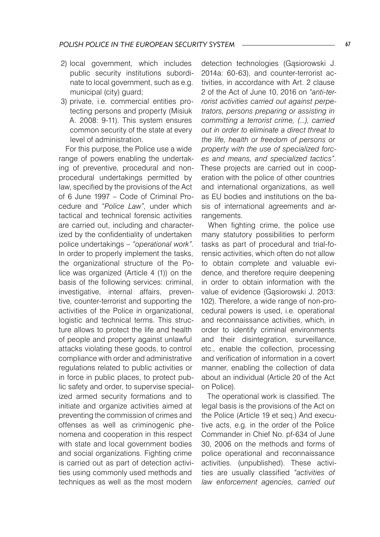- 2) local government, which includes public security institutions subordinate to local government, such as e.g. municipal (city) guard;
- 3) private, i.e. commercial entities protecting persons and property (Misiuk A. 2008: 9-11). This system ensures common security of the state at every level of administration.

For this purpose, the Police use a wide range of powers enabling the undertaking of preventive, procedural and nonprocedural undertakings permitted by law, specified by the provisions of the Act of 6 June 1997 – Code of Criminal Procedure and *"Police Law",* under which tactical and technical forensic activities are carried out, including and characterized by the confidentiality of undertaken police undertakings – *"operational work".* In order to properly implement the tasks, the organizational structure of the Police was organized (Article 4 (1)) on the basis of the following services: criminal, investigative, internal affairs, preventive, counter-terrorist and supporting the activities of the Police in organizational, logistic and technical terms. This structure allows to protect the life and health of people and property against unlawful attacks violating these goods, to control compliance with order and administrative regulations related to public activities or in force in public places, to protect public safety and order, to supervise specialized armed security formations and to initiate and organize activities aimed at preventing the commission of crimes and offenses as well as criminogenic phenomena and cooperation in this respect with state and local government bodies and social organizations. Fighting crime is carried out as part of detection activities using commonly used methods and techniques as well as the most modern

detection technologies (Gąsiorowski J. 2014a: 60-63), and counter-terrorist activities, in accordance with Art. 2 clause 2 of the Act of June 10, 2016 on *"anti-terrorist activities carried out against perpetrators, persons preparing or assisting in committing a terrorist crime, (...), carried out in order to eliminate a direct threat to the life, health or freedom of persons or property with the use of specialized forces and means, and specialized tactics"*. These projects are carried out in cooperation with the police of other countries and international organizations, as well as EU bodies and institutions on the basis of international agreements and arrangements.

When fighting crime, the police use many statutory possibilities to perform tasks as part of procedural and trial-forensic activities, which often do not allow to obtain complete and valuable evidence, and therefore require deepening in order to obtain information with the value of evidence (Gąsiorowski J. 2013: 102). Therefore, a wide range of non-procedural powers is used, i.e. operational and reconnaissance activities, which, in order to identify criminal environments and their disintegration, surveillance, etc., enable the collection, processing and verification of information in a covert manner, enabling the collection of data about an individual (Article 20 of the Act on Police).

The operational work is classified. The legal basis is the provisions of the Act on the Police (Article 19 et seq.) And executive acts, e.g. in the order of the Police Commander in Chief No. pf-634 of June 30, 2006 on the methods and forms of police operational and reconnaissance activities. (unpublished). These activities are usually classified *"activities of law enforcement agencies, carried out*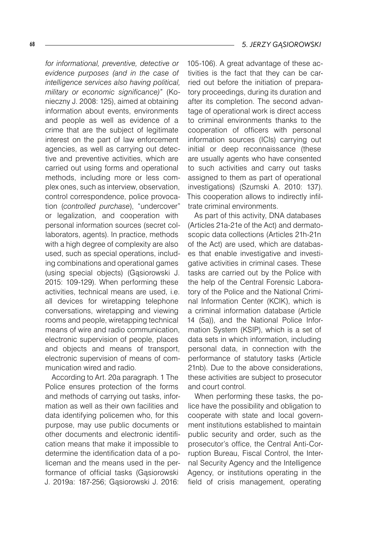*for informational, preventive, detective or evidence purposes (and in the case of intelligence services also having political, military or economic significance)"* (Konieczny J. 2008: 125), aimed at obtaining information about events, environments and people as well as evidence of a crime that are the subject of legitimate interest on the part of law enforcement agencies, as well as carrying out detective and preventive activities, which are carried out using forms and operational methods, including more or less complex ones, such as interview, observation, control correspondence, police provocation (*controlled purchase*), "undercover" or legalization, and cooperation with personal information sources (secret collaborators, agents). In practice, methods with a high degree of complexity are also used, such as special operations, including combinations and operational games (using special objects) (Gąsiorowski J. 2015: 109-129). When performing these activities, technical means are used, i.e. all devices for wiretapping telephone conversations, wiretapping and viewing rooms and people, wiretapping technical means of wire and radio communication, electronic supervision of people, places and objects and means of transport, electronic supervision of means of communication wired and radio.

According to Art. 20a paragraph. 1 The Police ensures protection of the forms and methods of carrying out tasks, information as well as their own facilities and data identifying policemen who, for this purpose, may use public documents or other documents and electronic identification means that make it impossible to determine the identification data of a policeman and the means used in the performance of official tasks (Gąsiorowski J. 2019a: 187-256; Gąsiorowski J. 2016:

105-106). A great advantage of these activities is the fact that they can be carried out before the initiation of preparatory proceedings, during its duration and after its completion. The second advantage of operational work is direct access to criminal environments thanks to the cooperation of officers with personal information sources (ICIs) carrying out initial or deep reconnaissance (these are usually agents who have consented to such activities and carry out tasks assigned to them as part of operational investigations) (Szumski A. 2010: 137). This cooperation allows to indirectly infiltrate criminal environments.

As part of this activity, DNA databases (Articles 21a-21e of the Act) and dermatoscopic data collections (Articles 21h-21n of the Act) are used, which are databases that enable investigative and investigative activities in criminal cases. These tasks are carried out by the Police with the help of the Central Forensic Laboratory of the Police and the National Criminal Information Center (KCIK), which is a criminal information database (Article 14 (5a)), and the National Police Information System (KSIP), which is a set of data sets in which information, including personal data, in connection with the performance of statutory tasks (Article 21nb). Due to the above considerations, these activities are subject to prosecutor and court control.

When performing these tasks, the police have the possibility and obligation to cooperate with state and local government institutions established to maintain public security and order, such as the prosecutor's office, the Central Anti-Corruption Bureau, Fiscal Control, the Internal Security Agency and the Intelligence Agency, or institutions operating in the field of crisis management, operating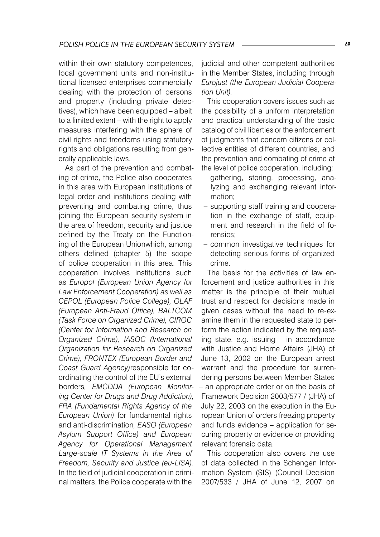within their own statutory competences, local government units and non-institutional licensed enterprises commercially dealing with the protection of persons and property (including private detectives), which have been equipped – albeit to a limited extent – with the right to apply measures interfering with the sphere of civil rights and freedoms using statutory rights and obligations resulting from generally applicable laws.

As part of the prevention and combating of crime, the Police also cooperates in this area with European institutions of legal order and institutions dealing with preventing and combating crime, thus joining the European security system in the area of freedom, security and justice defined by the Treaty on the Functioning of the European Unionwhich, among others defined (chapter 5) the scope of police cooperation in this area. This cooperation involves institutions such as *Europol (European Union Agency for Law Enforcement Cooperation) as well as CEPOL (European Police College), OLAF (European Anti-Fraud Office), BALTCOM (Task Force on Organized Crime), CIROC (Center for Information and Research on Organized Crime), IASOC (International Organization for Research on Organized Crime), FRONTEX (European Border and Coast Guard Agency)*responsible for coordinating the control of the EU's external borders*, EMCDDA (European Monitoring Center for Drugs and Drug Addiction), FRA (Fundamental Rights Agency of the European Union)* for fundamental rights and anti-discrimination*, EASO (European Asylum Support Office) and European Agency for Operational Management Large-scale IT Systems in the Area of Freedom, Security and Justice (eu-LISA).* In the field of judicial cooperation in criminal matters, the Police cooperate with the

judicial and other competent authorities in the Member States, including through *Eurojust (the European Judicial Cooperation Unit).*

This cooperation covers issues such as the possibility of a uniform interpretation and practical understanding of the basic catalog of civil liberties or the enforcement of judgments that concern citizens or collective entities of different countries, and the prevention and combating of crime at the level of police cooperation, including:

- gathering, storing, processing, analyzing and exchanging relevant information;
- supporting staff training and cooperation in the exchange of staff, equipment and research in the field of forensics;
- common investigative techniques for detecting serious forms of organized crime.

The basis for the activities of law enforcement and justice authorities in this matter is the principle of their mutual trust and respect for decisions made in given cases without the need to re-examine them in the requested state to perform the action indicated by the requesting state, e.g. issuing – in accordance with Justice and Home Affairs (JHA) of June 13, 2002 on the European arrest warrant and the procedure for surrendering persons between Member States – an appropriate order or on the basis of Framework Decision 2003/577 / (JHA) of July 22, 2003 on the execution in the European Union of orders freezing property and funds evidence – application for securing property or evidence or providing relevant forensic data.

This cooperation also covers the use of data collected in the Schengen Information System (SIS) (Council Decision 2007/533 / JHA of June 12, 2007 on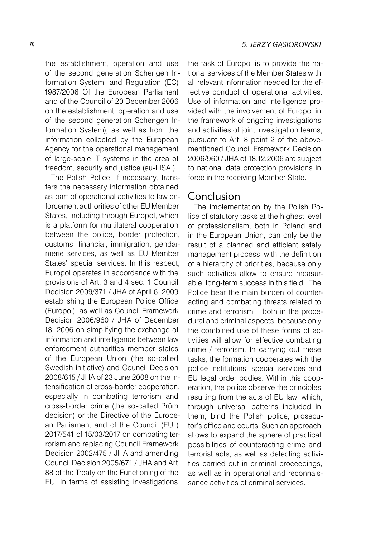the establishment, operation and use of the second generation Schengen Information System, and Regulation (EC) 1987/2006 Of the European Parliament and of the Council of 20 December 2006 on the establishment, operation and use of the second generation Schengen Information System), as well as from the information collected by the European Agency for the operational management of large-scale IT systems in the area of freedom, security and justice (eu-LISA ).

The Polish Police, if necessary, transfers the necessary information obtained as part of operational activities to law enforcement authorities of other EU Member States, including through Europol, which is a platform for multilateral cooperation between the police, border protection, customs, financial, immigration, gendarmerie services, as well as EU Member States' special services. In this respect, Europol operates in accordance with the provisions of Art. 3 and 4 sec. 1 Council Decision 2009/371 / JHA of April 6, 2009 establishing the European Police Office (Europol), as well as Council Framework Decision 2006/960 / JHA of December 18, 2006 on simplifying the exchange of information and intelligence between law enforcement authorities member states of the European Union (the so-called Swedish initiative) and Council Decision 2008/615 / JHA of 23 June 2008 on the intensification of cross-border cooperation, especially in combating terrorism and cross-border crime (the so-called Prüm decision) or the Directive of the European Parliament and of the Council (EU ) 2017/541 of 15/03/2017 on combating terrorism and replacing Council Framework Decision 2002/475 / JHA and amending Council Decision 2005/671 / JHA and Art. 88 of the Treaty on the Functioning of the EU. In terms of assisting investigations,

the task of Europol is to provide the national services of the Member States with all relevant information needed for the effective conduct of operational activities. Use of information and intelligence provided with the involvement of Europol in the framework of ongoing investigations and activities of joint investigation teams, pursuant to Art. 8 point 2 of the abovementioned Council Framework Decision 2006/960 / JHA of 18.12.2006 are subject to national data protection provisions in force in the receiving Member State.

#### Conclusion

The implementation by the Polish Police of statutory tasks at the highest level of professionalism, both in Poland and in the European Union, can only be the result of a planned and efficient safety management process, with the definition of a hierarchy of priorities, because only such activities allow to ensure measurable, long-term success in this field . The Police bear the main burden of counteracting and combating threats related to crime and terrorism – both in the procedural and criminal aspects, because only the combined use of these forms of activities will allow for effective combating crime / terrorism. In carrying out these tasks, the formation cooperates with the police institutions, special services and EU legal order bodies. Within this cooperation, the police observe the principles resulting from the acts of EU law, which, through universal patterns included in them, bind the Polish police, prosecutor's office and courts. Such an approach allows to expand the sphere of practical possibilities of counteracting crime and terrorist acts, as well as detecting activities carried out in criminal proceedings, as well as in operational and reconnaissance activities of criminal services.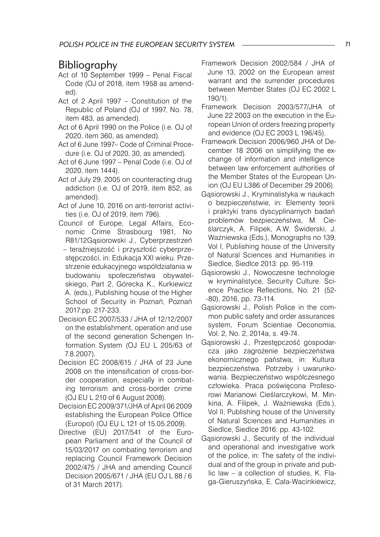# Bibliography

- Act of 10 September 1999 Penal Fiscal Code (OJ of 2018, item 1958 as amended).
- Act of 2 April 1997 Constitution of the Republic of Poland (OJ of 1997, No. 78, item 483, as amended).
- Act of 6 April 1990 on the Police (i.e. OJ of 2020, item 360, as amended).
- Act of 6 June 1997– Code of Criminal Procedure (i.e. OJ of 2020, 30, as amended).
- Act of 6 June 1997 Penal Code (i.e. OJ of 2020, item 1444).
- Act of July 29, 2005 on counteracting drug addiction (i.e. OJ of 2019, item 852, as amended).
- Act of June 10, 2016 on anti-terrorist activities (i.e. OJ of 2019, item 796).
- Council of Europe, Legal Affairs, Economic Crime Strasbourg 1981, No R81/12Gąsiorowski J., Cyberprzestrzeń – teraźniejszość i przyszłość cyberprzestępczości, in: Edukacja XXI wieku. Przestrzenie edukacyjnego współdziałania w budowaniu społeczeństwa obywatelskiego, Part 2, Górecka K., Kurkiewicz A. (eds.), Publishing house of the Higher School of Security in Poznań, Poznań 2017:pp. 217-233.
- Decision EC 2007/533 / JHA of 12/12/2007 on the establishment, operation and use of the second generation Schengen Information System (OJ EU L 205/63 of 7.8.2007).
- Decision EC 2008/615 / JHA of 23 June 2008 on the intensification of cross-border cooperation, especially in combating terrorism and cross-border crime (OJ EU L 210 of 6 August 2008).
- Decision EC 2009/371/JHA of April 06 2009 establishing the European Police Office (Europol) (OJ EU L 121 of 15.05.2009).
- Directive (EU) 2017/541 of the European Parliament and of the Council of 15/03/2017 on combating terrorism and replacing Council Framework Decision 2002/475 / JHA and amending Council Decision 2005/671 / JHA (EU OJ L 88 / 6 of 31 March 2017).
- Framework Decision 2002/584 / JHA of June 13, 2002 on the European arrest warrant and the surrender procedures between Member States (OJ EC 2002 L 190/1).
- Framework Decision 2003/577/JHA of June 22 2003 on the execution in the European Union of orders freezing property and evidence (OJ EC 2003 L 196/45).
- Framework Decision 2006/960 JHA of December 18 2006 on simplifying the exchange of information and intelligence between law enforcement authorities of the Member States of the European Union (OJ EU L386 of December 29 2006).
- Gąsiorowski J., Kryminalistyka w naukach o bezpieczeństwie, in: Elementy teorii i praktyki trans dyscyplinarnych badań problemów bezpieczeństwa, M. Cieślarczyk, A. Filipek, A.W. Świderski, J. Ważniewska (Eds.), Monographs no 139, Vol I, Publishing house of the University of Natural Sciences and Humanities in Siedlce, Siedlce 2013: pp. 95-119.
- Gąsiorowski J., Nowoczesne technologie w kryminalistyce, Security Culture. Science Practice Reflections, No. 21 (52- -80), 2016, pp. 73-114.
- Gąsiorowski J., Polish Police in the common public safety and order assurances system, Forum Scientiae Oeconomia, Vol. 2, No. 2, 2014a, s. 49-74.
- Gąsiorowski J., Przestępczość gospodarcza jako zagrożenie bezpieczeństwa ekonomicznego państwa, in: Kultura bezpieczeństwa. Potrzeby i uwarunkowania. Bezpieczeństwo współczesnego człowieka. Praca poświęcona Profesorowi Marianowi Cieślarczykowi, M. Minkina, A. Filipek, J. Ważniewska (Eds.), Vol II, Publishing house of the University of Natural Sciences and Humanities in Siedlce, Siedlce 2016: pp. 43-102.
- Gąsiorowski J., Security of the individual and operational and investigative work of the police, in: The safety of the individual and of the group in private and public law – a collection of studies, K. Flaga-Gieruszyńska, E. Cała-Wacinkiewicz,